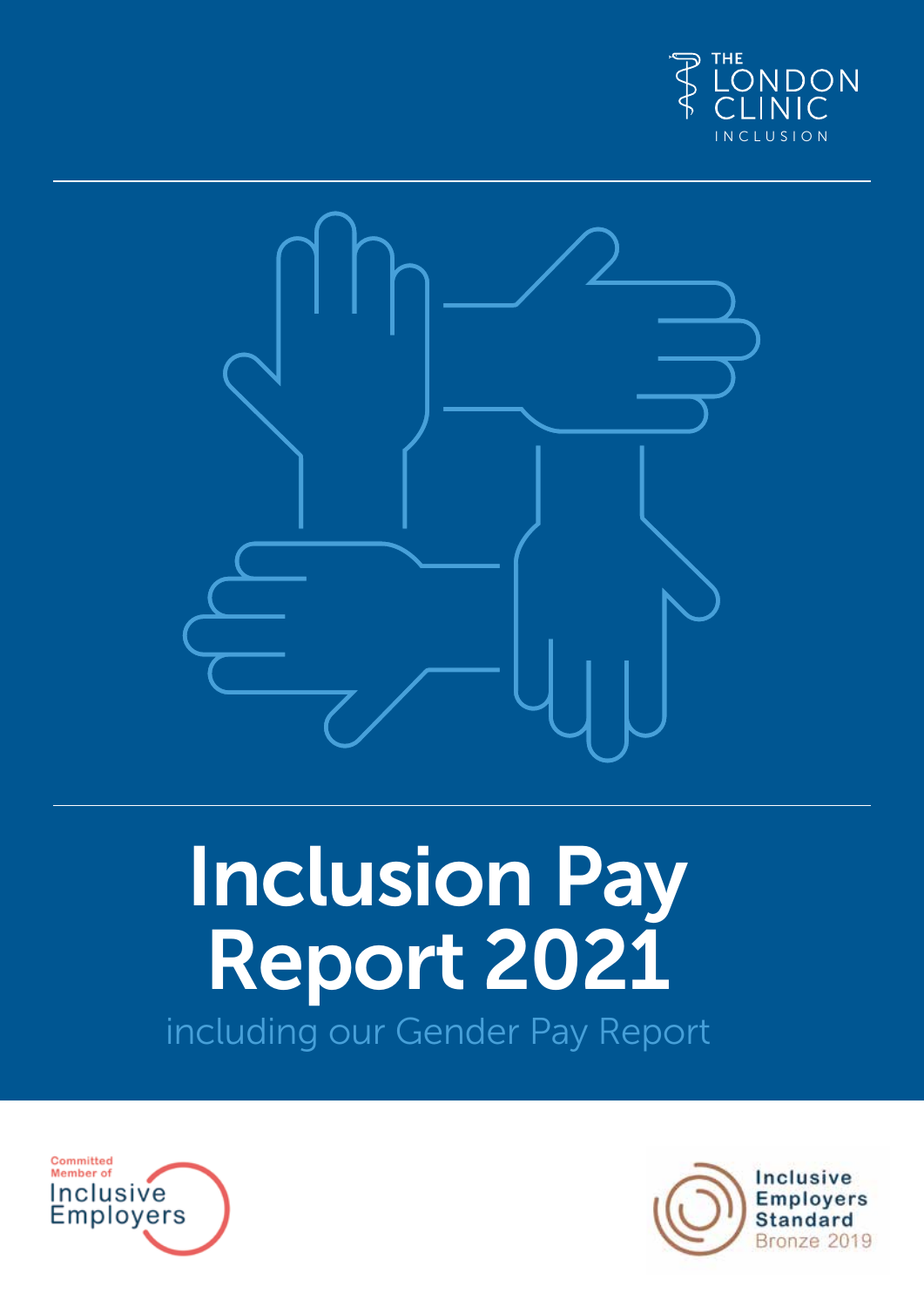



# Inclusion Pay Report 2021 including our Gender Pay Report



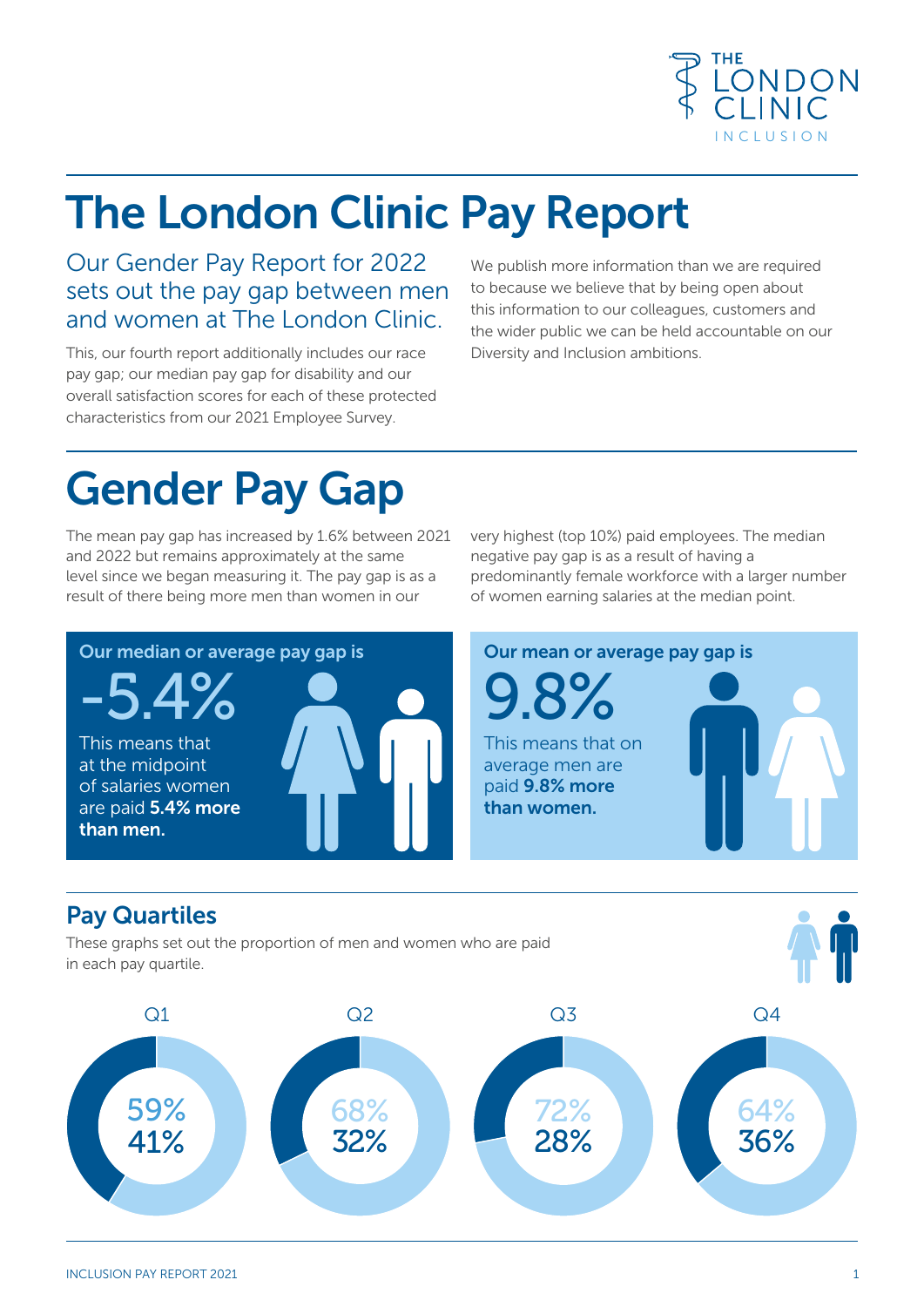

### The London Clinic Pay Report

#### Our Gender Pay Report for 2022 sets out the pay gap between men and women at The London Clinic.

This, our fourth report additionally includes our race pay gap; our median pay gap for disability and our overall satisfaction scores for each of these protected characteristics from our 2021 Employee Survey.

We publish more information than we are required to because we believe that by being open about this information to our colleagues, customers and the wider public we can be held accountable on our Diversity and Inclusion ambitions.

### Gender Pay Gap

The mean pay gap has increased by 1.6% between 2021 and 2022 but remains approximately at the same level since we began measuring it. The pay gap is as a result of there being more men than women in our

very highest (top 10%) paid employees. The median negative pay gap is as a result of having a predominantly female workforce with a larger number of women earning salaries at the median point.



These graphs set out the proportion of men and women who are paid in each pay quartile.

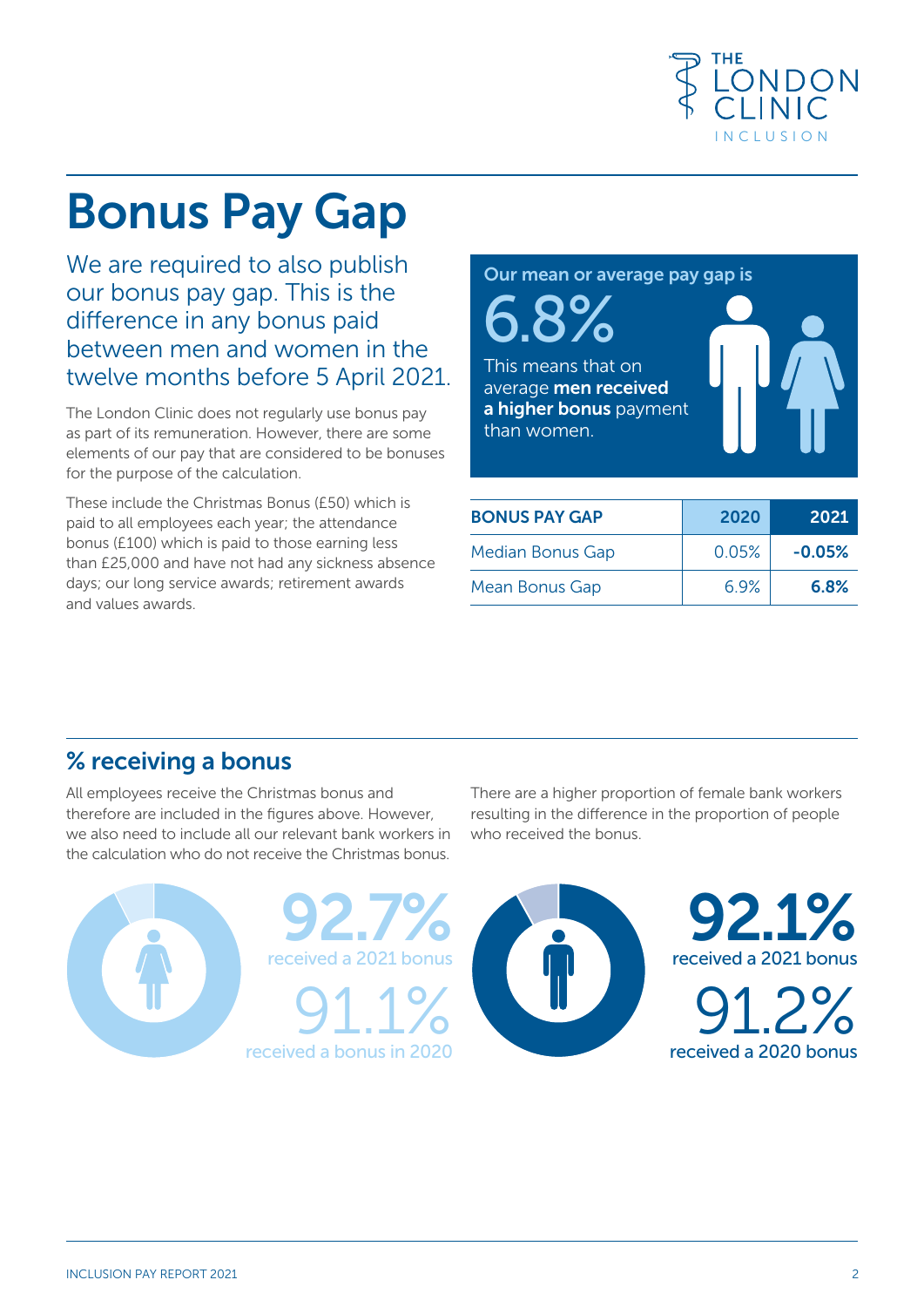![](_page_2_Picture_0.jpeg)

## Bonus Pay Gap

We are required to also publish our bonus pay gap. This is the difference in any bonus paid between men and women in the twelve months before 5 April 2021.

The London Clinic does not regularly use bonus pay as part of its remuneration. However, there are some elements of our pay that are considered to be bonuses for the purpose of the calculation.

These include the Christmas Bonus (£50) which is paid to all employees each year; the attendance bonus (£100) which is paid to those earning less than £25,000 and have not had any sickness absence days; our long service awards; retirement awards and values awards.

6.8% This means that on average men received a higher bonus payment than women.

Our mean or average pay gap is

| <b>BONUS PAY GAP</b>    | 2020  | 2021     |
|-------------------------|-------|----------|
| <b>Median Bonus Gap</b> | 0.05% | $-0.05%$ |
| Mean Bonus Gap          | 6.9%  | 6.8%     |

#### % receiving a bonus

All employees receive the Christmas bonus and therefore are included in the figures above. However, we also need to include all our relevant bank workers in the calculation who do not receive the Christmas bonus.

![](_page_2_Picture_9.jpeg)

![](_page_2_Picture_10.jpeg)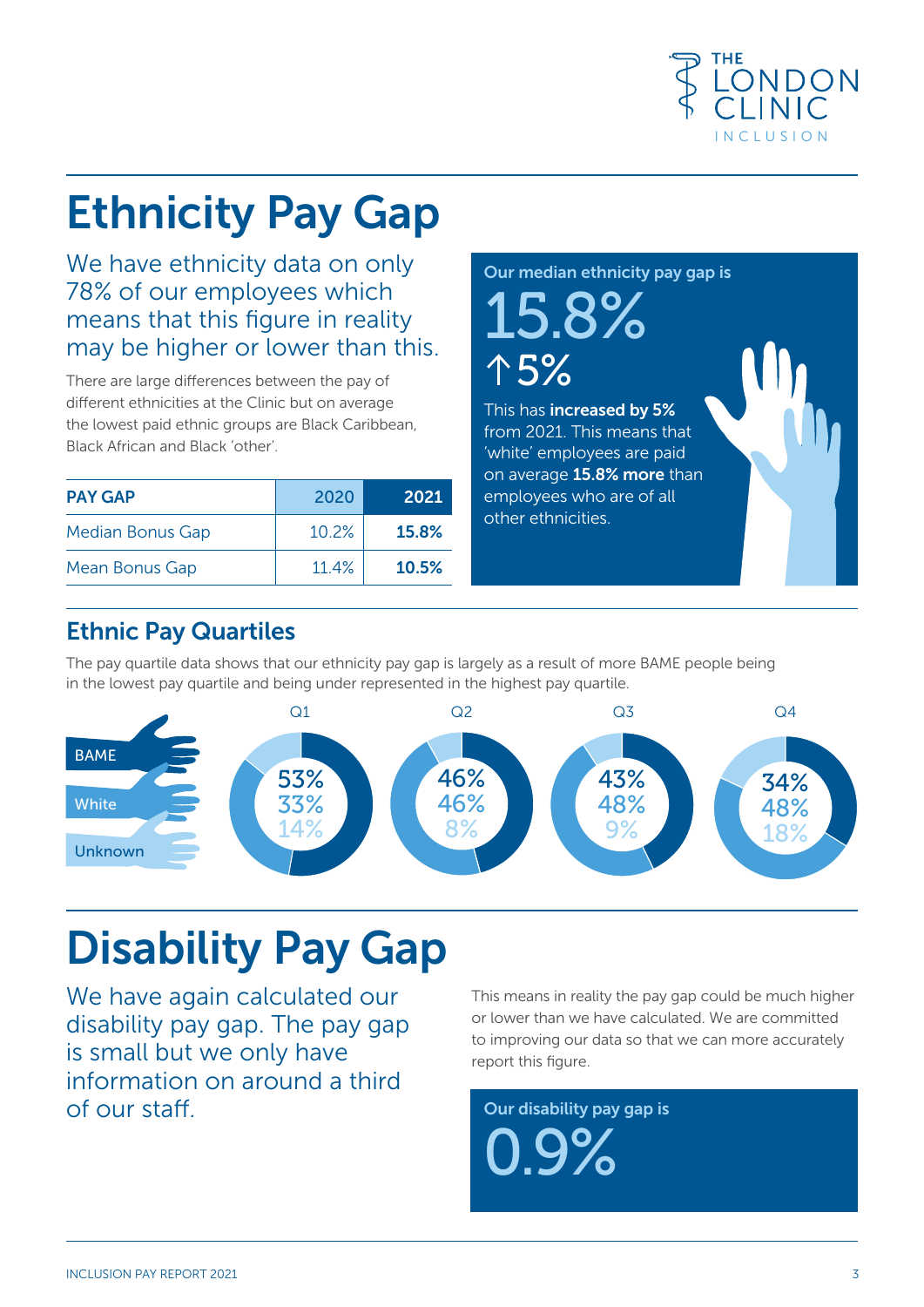![](_page_3_Picture_0.jpeg)

### Ethnicity Pay Gap

We have ethnicity data on only 78% of our employees which means that this figure in reality may be higher or lower than this.

There are large differences between the pay of different ethnicities at the Clinic but on average the lowest paid ethnic groups are Black Caribbean, Black African and Black 'other'.

| <b>PAY GAP</b>        | 2020  | 2021         |
|-----------------------|-------|--------------|
| Median Bonus Gap      | 10.2% | <b>15.8%</b> |
| <b>Mean Bonus Gap</b> | 11.4% | 10.5%        |

Our median ethnicity pay gap is

15.8% 5%

This has increased by 5% from 2021. This means that 'white' employees are paid on average 15.8% more than employees who are of all other ethnicities.

#### Ethnic Pay Quartiles

The pay quartile data shows that our ethnicity pay gap is largely as a result of more BAME people being in the lowest pay quartile and being under represented in the highest pay quartile.

![](_page_3_Figure_10.jpeg)

## Disability Pay Gap

We have again calculated our disability pay gap. The pay gap is small but we only have information on around a third of our staff.

This means in reality the pay gap could be much higher or lower than we have calculated. We are committed to improving our data so that we can more accurately report this figure.

Our disability pay gap is 0.9%